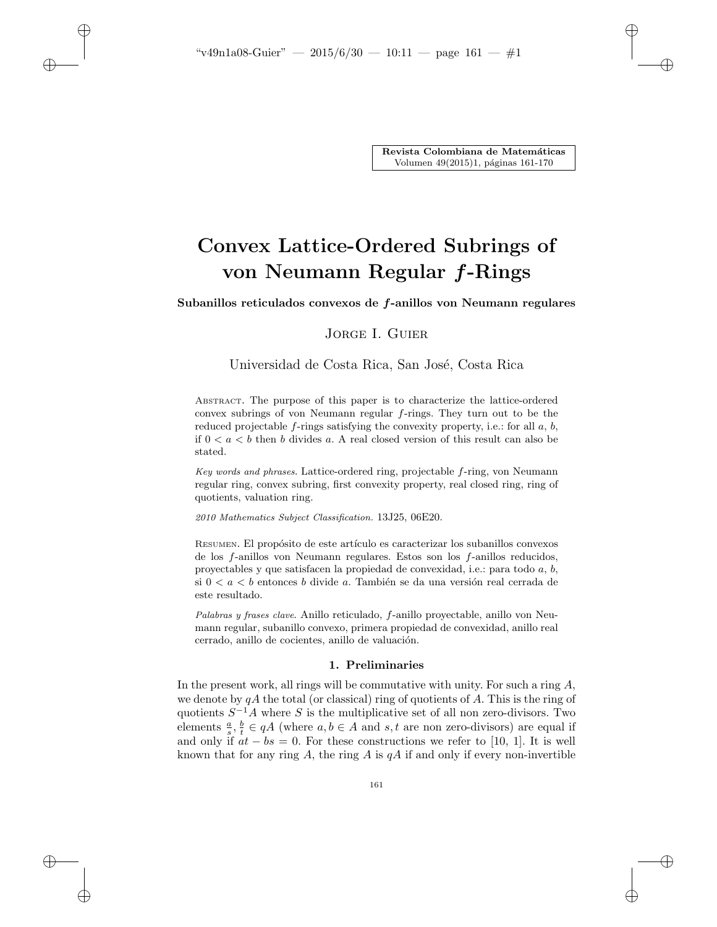$\rightarrow$ 

✐

✐

Revista Colombiana de Matemáticas Volumen 49(2015)1, páginas 161-170

✐

✐

✐

✐

# Convex Lattice-Ordered Subrings of von Neumann Regular f-Rings

Subanillos reticulados convexos de f-anillos von Neumann regulares

# Jorge I. Guier

# Universidad de Costa Rica, San José, Costa Rica

ABSTRACT. The purpose of this paper is to characterize the lattice-ordered convex subrings of von Neumann regular f-rings. They turn out to be the reduced projectable  $f$ -rings satisfying the convexity property, i.e.: for all  $a, b$ , if  $0 < a < b$  then b divides a. A real closed version of this result can also be stated.

Key words and phrases. Lattice-ordered ring, projectable f-ring, von Neumann regular ring, convex subring, first convexity property, real closed ring, ring of quotients, valuation ring.

2010 Mathematics Subject Classification. 13J25, 06E20.

RESUMEN. El propósito de este artículo es caracterizar los subanillos convexos de los f-anillos von Neumann regulares. Estos son los f-anillos reducidos, proyectables y que satisfacen la propiedad de convexidad, i.e.: para todo a, b, si  $0 < a < b$  entonces b divide a. También se da una versión real cerrada de este resultado.

Palabras y frases clave. Anillo reticulado, f-anillo proyectable, anillo von Neumann regular, subanillo convexo, primera propiedad de convexidad, anillo real cerrado, anillo de cocientes, anillo de valuación.

### 1. Preliminaries

In the present work, all rings will be commutative with unity. For such a ring  $A$ , we denote by  $qA$  the total (or classical) ring of quotients of A. This is the ring of quotients  $S^{-1}A$  where S is the multiplicative set of all non zero-divisors. Two elements  $\frac{a}{s}, \frac{b}{t} \in qA$  (where  $a, b \in A$  and  $s, t$  are non zero-divisors) are equal if and only if  $at - bs = 0$ . For these constructions we refer to [10, 1]. It is well known that for any ring A, the ring A is  $qA$  if and only if every non-invertible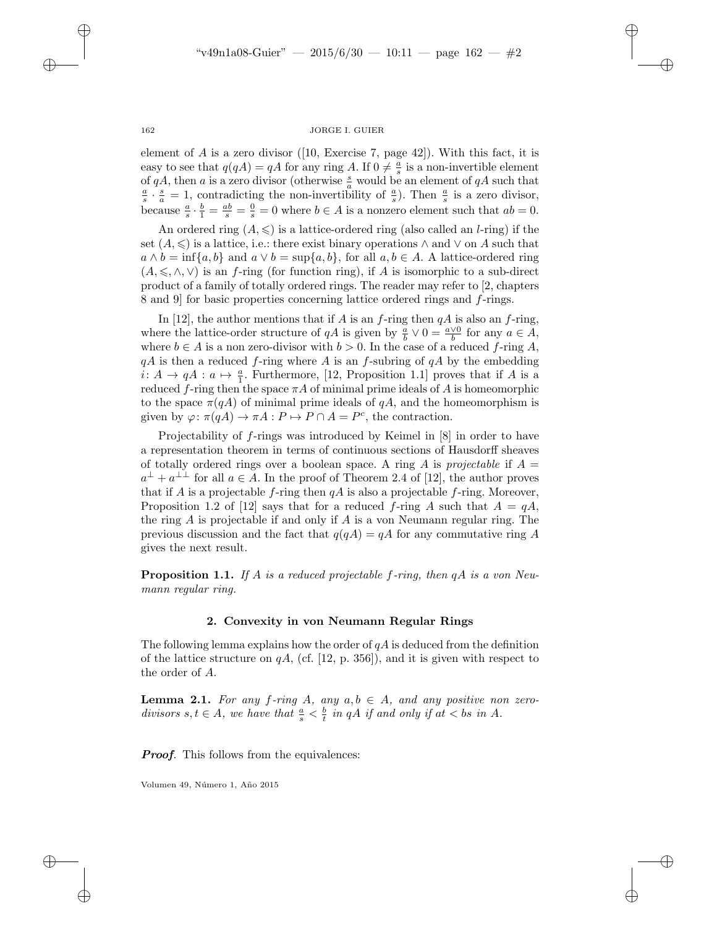✐

✐

✐

#### 162 JORGE I. GUIER

element of  $A$  is a zero divisor ([10, Exercise 7, page 42]). With this fact, it is easy to see that  $q(qA) = qA$  for any ring A. If  $0 \neq \frac{a}{s}$  is a non-invertible element of qA, then a is a zero divisor (otherwise  $\frac{s}{a}$  would be an element of qA such that  $\frac{a}{s} \cdot \frac{s}{a} = 1$ , contradicting the non-invertibility of  $\frac{a}{s}$ ). Then  $\frac{a}{s}$  is a zero divisor, because  $\frac{a}{s} \cdot \frac{b}{1} = \frac{ab}{s} = \frac{0}{s} = 0$  where  $b \in A$  is a nonzero element such that  $ab = 0$ .

An ordered ring  $(A, \leq)$  is a lattice-ordered ring (also called an *l*-ring) if the set  $(A, \leq)$  is a lattice, i.e.: there exist binary operations  $\wedge$  and  $\vee$  on A such that  $a \wedge b = \inf\{a, b\}$  and  $a \vee b = \sup\{a, b\}$ , for all  $a, b \in A$ . A lattice-ordered ring  $(A, \leq, \wedge, \vee)$  is an f-ring (for function ring), if A is isomorphic to a sub-direct product of a family of totally ordered rings. The reader may refer to [2, chapters 8 and 9] for basic properties concerning lattice ordered rings and f-rings.

In [12], the author mentions that if A is an f-ring then  $qA$  is also an f-ring, where the lattice-order structure of  $qA$  is given by  $\frac{a}{b} \vee 0 = \frac{a \vee 0}{b}$  for any  $a \in A$ , where  $b \in A$  is a non zero-divisor with  $b > 0$ . In the case of a reduced f-ring A,  $qA$  is then a reduced f-ring where A is an f-subring of  $qA$  by the embedding  $i: A \to qA : a \mapsto \frac{a}{1}$ . Furthermore, [12, Proposition 1.1] proves that if A is a reduced f-ring then the space  $\pi A$  of minimal prime ideals of A is homeomorphic to the space  $\pi(qA)$  of minimal prime ideals of  $qA$ , and the homeomorphism is given by  $\varphi$ :  $\pi(qA) \to \pi A : P \mapsto P \cap A = P^c$ , the contraction.

Projectability of f-rings was introduced by Keimel in [8] in order to have a representation theorem in terms of continuous sections of Hausdorff sheaves of totally ordered rings over a boolean space. A ring A is projectable if  $A =$  $a^{\perp} + a^{\perp \perp}$  for all  $a \in A$ . In the proof of Theorem 2.4 of [12], the author proves that if A is a projectable f-ring then  $qA$  is also a projectable f-ring. Moreover, Proposition 1.2 of [12] says that for a reduced f-ring A such that  $A = qA$ , the ring  $A$  is projectable if and only if  $A$  is a von Neumann regular ring. The previous discussion and the fact that  $q(qA) = qA$  for any commutative ring A gives the next result.

**Proposition 1.1.** If A is a reduced projectable f-ring, then  $qA$  is a von Neumann regular ring.

#### 2. Convexity in von Neumann Regular Rings

The following lemma explains how the order of  $qA$  is deduced from the definition of the lattice structure on  $qA$ , (cf. [12, p. 356]), and it is given with respect to the order of A.

**Lemma 2.1.** For any f-ring A, any  $a, b \in A$ , and any positive non zerodivisors  $s, t \in A$ , we have that  $\frac{a}{s} < \frac{b}{t}$  in qA if and only if at < bs in A.

**Proof.** This follows from the equivalences:

Volumen 49, Número 1, Año 2015

 $\rightarrow$ 

 $\rightarrow$ 

✐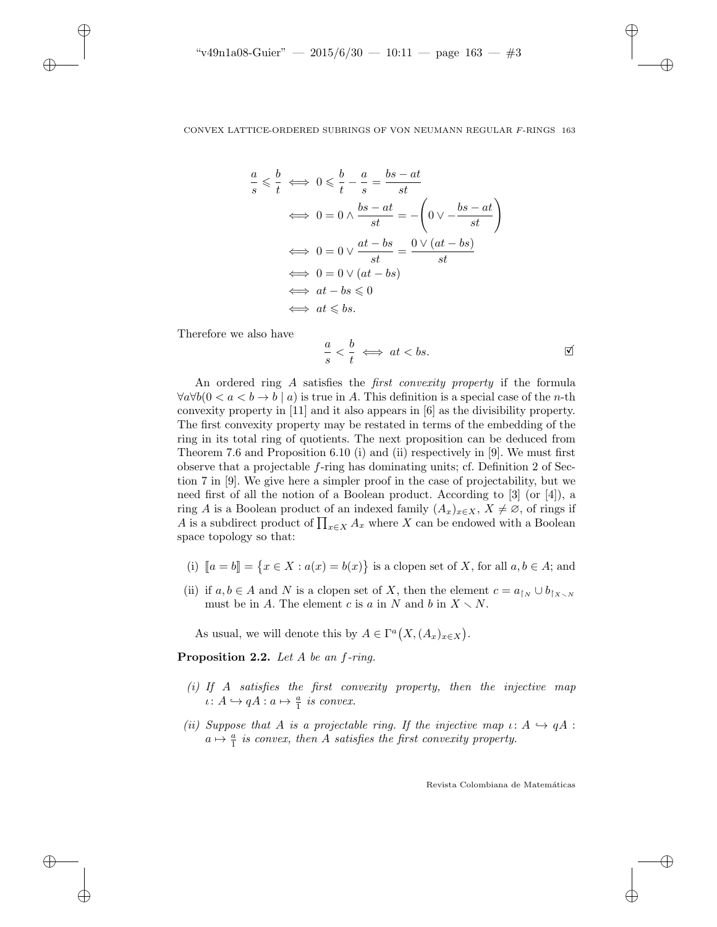#### CONVEX LATTICE-ORDERED SUBRINGS OF VON NEUMANN REGULAR F-RINGS 163

$$
\leq \frac{b}{t} \iff 0 \leq \frac{b}{t} - \frac{a}{s} = \frac{bs - at}{st}
$$

$$
\iff 0 = 0 \land \frac{bs - at}{st} = -\left(0 \lor -\frac{bs - at}{st}\right)
$$

$$
\iff 0 = 0 \lor \frac{at - bs}{st} = \frac{0 \lor (at - bs)}{st}
$$

$$
\iff 0 = 0 \lor (at - bs)
$$

$$
\iff at - bs \leq 0
$$

$$
\iff at \leq bs.
$$

Therefore we also have

a s

 $\rightarrow$ 

 $\rightarrow$ 

✐

✐

$$
\frac{a}{s} < \frac{b}{t} \iff at < bs. \tag{\text{S}
$$

✐

✐

✐

✐

An ordered ring A satisfies the *first convexity property* if the formula  $\forall a \forall b (0 < a < b \rightarrow b \mid a)$  is true in A. This definition is a special case of the *n*-th convexity property in [11] and it also appears in [6] as the divisibility property. The first convexity property may be restated in terms of the embedding of the ring in its total ring of quotients. The next proposition can be deduced from Theorem 7.6 and Proposition 6.10 (i) and (ii) respectively in [9]. We must first observe that a projectable  $f$ -ring has dominating units; cf. Definition 2 of Section 7 in [9]. We give here a simpler proof in the case of projectability, but we need first of all the notion of a Boolean product. According to [3] (or [4]), a ring A is a Boolean product of an indexed family  $(A_x)_{x\in X}$ ,  $X\neq\emptyset$ , of rings if A is a subdirect product of  $\prod_{x \in X} A_x$  where X can be endowed with a Boolean space topology so that:

- (i)  $[a = b] = {x \in X : a(x) = b(x)}$  is a clopen set of X, for all  $a, b \in A$ ; and
- (ii) if  $a, b \in A$  and N is a clopen set of X, then the element  $c = a_{\upharpoonright N} \cup b_{\upharpoonright X \setminus N}$ must be in A. The element c is a in N and b in  $X \setminus N$ .

As usual, we will denote this by  $A \in \Gamma^a(X, (A_x)_{x \in X})$ .

**Proposition 2.2.** Let  $A$  be an  $f$ -ring.

- (i) If A satisfies the first convexity property, then the injective map  $\iota \colon A \hookrightarrow qA : a \mapsto \frac{a}{1}$  is convex.
- (ii) Suppose that A is a projectable ring. If the injective map  $\iota: A \hookrightarrow qA$ :  $a \mapsto \frac{a}{1}$  is convex, then A satisfies the first convexity property.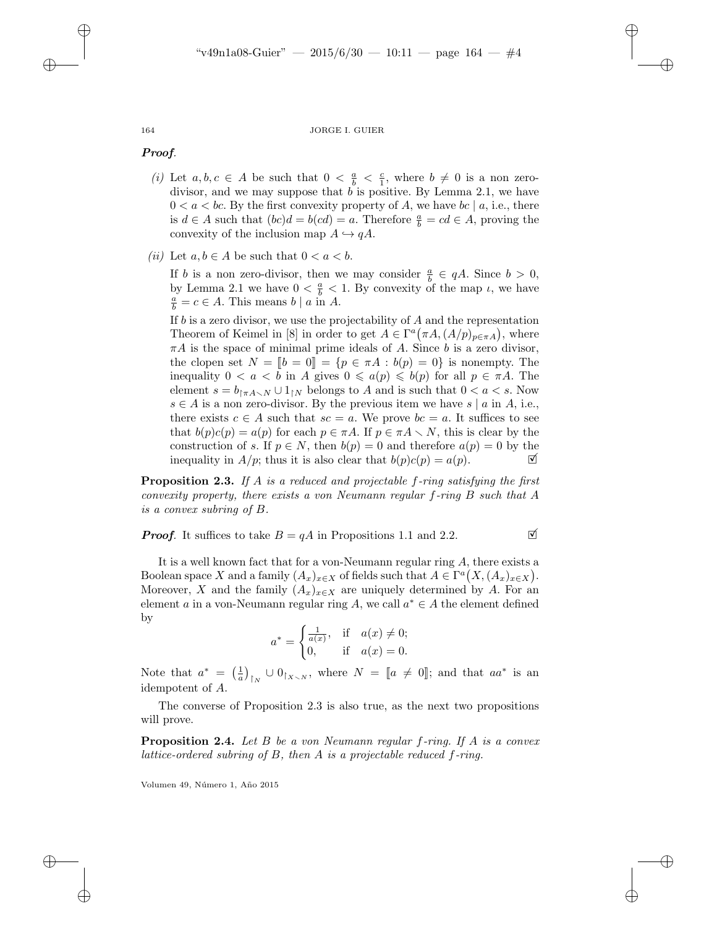✐

✐

✐

#### 164 JORGE I. GUIER

#### Proof.

- (i) Let  $a, b, c \in A$  be such that  $0 < \frac{a}{b} < \frac{c}{1}$ , where  $b \neq 0$  is a non zerodivisor, and we may suppose that  $b$  is positive. By Lemma 2.1, we have  $0 < a < bc$ . By the first convexity property of A, we have  $bc \mid a$ , i.e., there is  $d \in A$  such that  $(bc)d = b(cd) = a$ . Therefore  $\frac{a}{b} = cd \in A$ , proving the convexity of the inclusion map  $A \hookrightarrow qA$ .
- (ii) Let  $a, b \in A$  be such that  $0 < a < b$ .

If b is a non zero-divisor, then we may consider  $\frac{a}{b} \in qA$ . Since  $b > 0$ , by Lemma 2.1 we have  $0 < \frac{a}{b} < 1$ . By convexity of the map  $\iota$ , we have  $\frac{a}{b} = c \in A$ . This means  $b \mid a$  in A.

If  $b$  is a zero divisor, we use the projectability of  $A$  and the representation Theorem of Keimel in [8] in order to get  $A \in \Gamma^a(\pi A, (A/p)_{p \in \pi A})$ , where  $\pi A$  is the space of minimal prime ideals of A. Since b is a zero divisor, the clopen set  $N = [b = 0] = \{p \in \pi A : b(p) = 0\}$  is nonempty. The inequality  $0 < a < b$  in A gives  $0 \leq a(p) \leq b(p)$  for all  $p \in \pi A$ . The element  $s = b_{\uparrow \pi A \smallsetminus N} \cup 1_{\uparrow N}$  belongs to A and is such that  $0 < a < s$ . Now  $s \in A$  is a non zero-divisor. By the previous item we have  $s | a$  in A, i.e., there exists  $c \in A$  such that  $sc = a$ . We prove  $bc = a$ . It suffices to see that  $b(p)c(p) = a(p)$  for each  $p \in \pi A$ . If  $p \in \pi A \setminus N$ , this is clear by the construction of s. If  $p \in N$ , then  $b(p) = 0$  and therefore  $a(p) = 0$  by the inequality in  $A/p$ ; thus it is also clear that  $b(p)c(p) = a(p)$ .

**Proposition 2.3.** If  $A$  is a reduced and projectable  $f$ -ring satisfying the first convexity property, there exists a von Neumann regular f-ring B such that A is a convex subring of B.

**Proof.** It suffices to take  $B = qA$  in Propositions 1.1 and 2.2.

It is a well known fact that for a von-Neumann regular ring A, there exists a Boolean space X and a family  $(A_x)_{x\in X}$  of fields such that  $A \in \Gamma^a(X, (A_x)_{x\in X})$ . Moreover, X and the family  $(A_x)_{x\in X}$  are uniquely determined by A. For an element a in a von-Neumann regular ring A, we call  $a^* \in A$  the element defined by

$$
a^* = \begin{cases} \frac{1}{a(x)}, & \text{if } a(x) \neq 0; \\ 0, & \text{if } a(x) = 0. \end{cases}
$$

Note that  $a^* = \left(\frac{1}{a}\right)_{\vert N} \cup 0_{\vert X \setminus N}$ , where  $N = [a \neq 0]$ ; and that  $aa^*$  is an idempotent of A.

The converse of Proposition 2.3 is also true, as the next two propositions will prove.

Proposition 2.4. Let B be a von Neumann regular f-ring. If A is a convex lattice-ordered subring of B, then A is a projectable reduced f-ring.

Volumen 49, Número 1, Año 2015

 $\rightarrow$ 

 $\rightarrow$ 

✐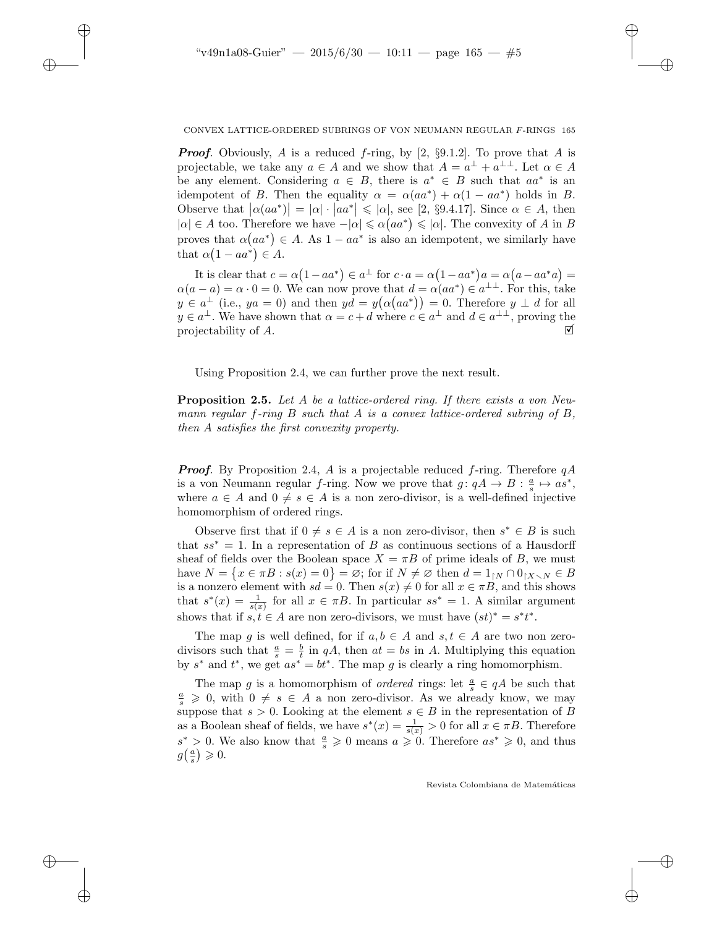✐

✐

✐

#### CONVEX LATTICE-ORDERED SUBRINGS OF VON NEUMANN REGULAR F-RINGS 165

✐

✐

✐

✐

**Proof.** Obviously, A is a reduced f-ring, by [2,  $\S 9.1.2$ ]. To prove that A is projectable, we take any  $a \in A$  and we show that  $A = a^{\perp} + a^{\perp \perp}$ . Let  $\alpha \in A$ be any element. Considering  $a \in B$ , there is  $a^* \in B$  such that  $aa^*$  is an idempotent of B. Then the equality  $\alpha = \alpha(aa^*) + \alpha(1 - aa^*)$  holds in B. Observe that  $|\alpha(aa^*)| = |\alpha| \cdot |aa^*| \leq |\alpha|$ , see [2, §9.4.17]. Since  $\alpha \in A$ , then  $|\alpha| \in A$  too. Therefore we have  $-|\alpha| \leq \alpha (aa^*) \leq |\alpha|$ . The convexity of A in B proves that  $\alpha(aa^*) \in A$ . As  $1 - aa^*$  is also an idempotent, we similarly have that  $\alpha(1 - aa^*) \in A$ .

It is clear that  $c = \alpha(1 - aa^*) \in a^{\perp}$  for  $c \cdot a = \alpha(1 - aa^*)a = \alpha(a - aa^*a)$  $\alpha(a-a) = \alpha \cdot 0 = 0$ . We can now prove that  $d = \alpha(aa^*) \in a^{\perp \perp}$ . For this, take  $y \in a^{\perp}$  (i.e.,  $ya = 0$ ) and then  $yd = y(\alpha(aa^*)) = 0$ . Therefore  $y \perp d$  for all  $y \in a^{\perp}$ . We have shown that  $\alpha = c + d$  where  $c \in a^{\perp}$  and  $d \in a^{\perp \perp}$ , proving the projectability of A.  $\Box$ 

Using Proposition 2.4, we can further prove the next result.

**Proposition 2.5.** Let A be a lattice-ordered ring. If there exists a von Neumann regular f-ring  $B$  such that  $A$  is a convex lattice-ordered subring of  $B$ , then A satisfies the first convexity property.

**Proof.** By Proposition 2.4, A is a projectable reduced f-ring. Therefore  $qA$ is a von Neumann regular f-ring. Now we prove that  $g: qA \to B: \frac{a}{s} \mapsto as^*$ , where  $a \in A$  and  $0 \neq s \in A$  is a non zero-divisor, is a well-defined injective homomorphism of ordered rings.

Observe first that if  $0 \neq s \in A$  is a non zero-divisor, then  $s^* \in B$  is such that  $ss^* = 1$ . In a representation of B as continuous sections of a Hausdorff sheaf of fields over the Boolean space  $X = \pi B$  of prime ideals of B, we must have  $N = \{x \in \pi B : s(x) = 0\} = \emptyset$ ; for if  $N \neq \emptyset$  then  $d = 1_{\upharpoonright N} \cap 0_{\upharpoonright X \setminus N} \in B$ is a nonzero element with  $sd = 0$ . Then  $s(x) \neq 0$  for all  $x \in \pi B$ , and this shows that  $s^*(x) = \frac{1}{s(x)}$  for all  $x \in \pi B$ . In particular  $ss^* = 1$ . A similar argument shows that if  $s, t \in A$  are non zero-divisors, we must have  $(st)^* = s^*t^*$ .

The map g is well defined, for if  $a, b \in A$  and  $s, t \in A$  are two non zerodivisors such that  $\frac{a}{s} = \frac{b}{t}$  in qA, then  $at = bs$  in A. Multiplying this equation by  $s^*$  and  $t^*$ , we get  $as^* = bt^*$ . The map g is clearly a ring homomorphism.

The map g is a homomorphism of *ordered* rings: let  $\frac{a}{s} \in qA$  be such that  $\frac{a}{s} \geq 0$ , with  $0 \neq s \in A$  a non zero-divisor. As we already know, we may suppose that  $s > 0$ . Looking at the element  $s \in B$  in the representation of B as a Boolean sheaf of fields, we have  $s^*(x) = \frac{1}{s(x)} > 0$  for all  $x \in \pi B$ . Therefore  $s^* > 0$ . We also know that  $\frac{a}{s} \geq 0$  means  $a \geq 0$ . Therefore  $as^* \geq 0$ , and thus  $g\left(\frac{a}{s}\right) \geqslant 0.$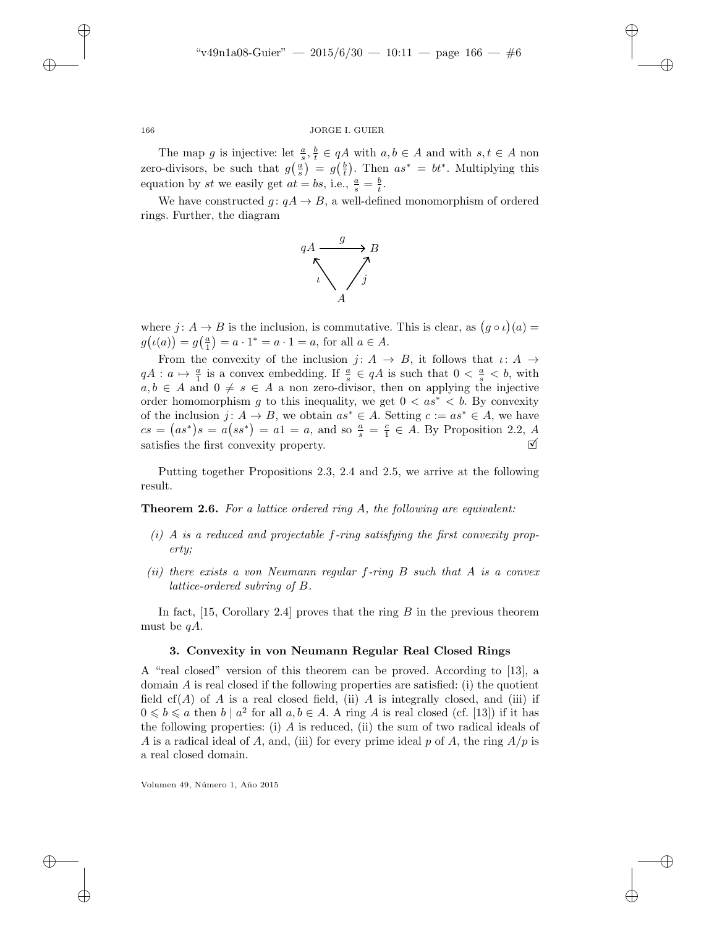✐

✐

✐

#### 166 JORGE I. GUIER

The map g is injective: let  $\frac{a}{s}, \frac{b}{t} \in qA$  with  $a, b \in A$  and with  $s, t \in A$  non zero-divisors, be such that  $g(\frac{a}{s}) = g(\frac{b}{t})$ . Then  $as^* = bt^*$ . Multiplying this equation by st we easily get  $at = bs$ , i.e.,  $\frac{a}{s} = \frac{b}{t}$ .

We have constructed  $g: qA \rightarrow B$ , a well-defined monomorphism of ordered rings. Further, the diagram



where  $j: A \to B$  is the inclusion, is commutative. This is clear, as  $(g \circ \iota)(a) =$  $g(\iota(a)) = g(\frac{a}{1}) = a \cdot 1^* = a \cdot 1 = a$ , for all  $a \in A$ .

From the convexity of the inclusion  $j: A \rightarrow B$ , it follows that  $\iota: A \rightarrow$  $qA: a \mapsto \frac{a}{1}$  is a convex embedding. If  $\frac{a}{s} \in qA$  is such that  $0 < \frac{a}{s} < b$ , with  $a, b \in A$  and  $0 \neq s \in A$  a non zero-divisor, then on applying the injective order homomorphism g to this inequality, we get  $0 < as^* < b$ . By convexity of the inclusion  $j: A \to B$ , we obtain  $as^* \in A$ . Setting  $c := as^* \in A$ , we have  $cs = (as^*)s = a(ss^*) = a1 = a$ , and so  $\frac{a}{s} = \frac{c}{1} \in A$ . By Proposition 2.2, A satisfies the first convexity property.  $\blacksquare$ 

Putting together Propositions 2.3, 2.4 and 2.5, we arrive at the following result.

**Theorem 2.6.** For a lattice ordered ring A, the following are equivalent:

- $(i)$  A is a reduced and projectable f-ring satisfying the first convexity property;
- (ii) there exists a von Neumann regular f-ring  $B$  such that  $A$  is a convex lattice-ordered subring of B.

In fact,  $[15, Corollary 2.4]$  proves that the ring B in the previous theorem must be  $qA$ .

#### 3. Convexity in von Neumann Regular Real Closed Rings

A "real closed" version of this theorem can be proved. According to [13], a domain  $\vec{A}$  is real closed if the following properties are satisfied: (i) the quotient field  $cf(A)$  of A is a real closed field, (ii) A is integrally closed, and (iii) if  $0 \leq b \leq a$  then  $b \mid a^2$  for all  $a, b \in A$ . A ring A is real closed (cf. [13]) if it has the following properties: (i)  $A$  is reduced, (ii) the sum of two radical ideals of A is a radical ideal of A, and, (iii) for every prime ideal p of A, the ring  $A/p$  is a real closed domain.

Volumen 49, Número 1, Año 2015

 $\rightarrow$ 

✐

✐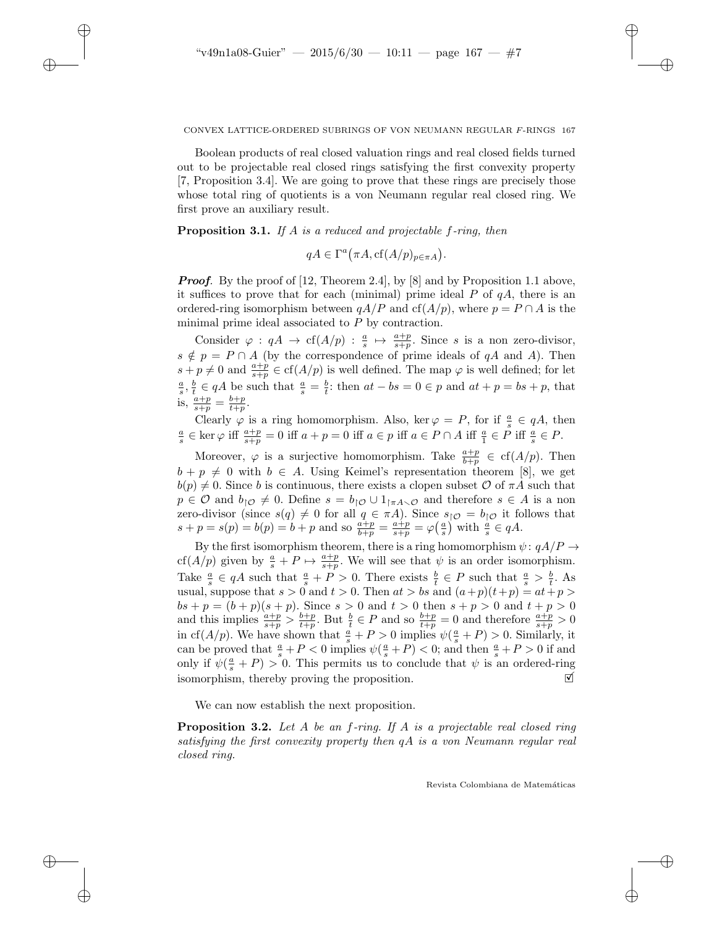✐

✐

✐

CONVEX LATTICE-ORDERED SUBRINGS OF VON NEUMANN REGULAR F-RINGS 167

✐

✐

✐

✐

Boolean products of real closed valuation rings and real closed fields turned out to be projectable real closed rings satisfying the first convexity property [7, Proposition 3.4]. We are going to prove that these rings are precisely those whose total ring of quotients is a von Neumann regular real closed ring. We first prove an auxiliary result.

**Proposition 3.1.** If A is a reduced and projectable  $f$ -ring, then

 $qA \in \Gamma^a(\pi A, \text{cf}(A/p)_{p \in \pi A}).$ 

**Proof.** By the proof of [12, Theorem 2.4], by [8] and by Proposition 1.1 above, it suffices to prove that for each (minimal) prime ideal  $P$  of  $qA$ , there is an ordered-ring isomorphism between  $qA/P$  and  $cf(A/p)$ , where  $p = P \cap A$  is the minimal prime ideal associated to P by contraction.

Consider  $\varphi : qA \to cf(A/p) : \frac{a}{s} \mapsto \frac{a+p}{s+n}$ . Since s is a non zero-divisor, Sonstant  $\varphi$  .  $q_{11} \wedge$  C( $\langle 1/q \rangle$ )  $\cdot \frac{1}{s}$   $\cdot \frac{1}{s+p}$ . Since s is a non-zero-divisor,<br>s  $\notin p = P \cap A$  (by the correspondence of prime ideals of qA and A). Then  $s + p \neq 0$  and  $\frac{a+p}{s+p} \in \text{cf}(A/p)$  is well defined. The map  $\varphi$  is well defined; for let  $\frac{a}{s}, \frac{b}{t} \in qA$  be such that  $\frac{a}{s} = \frac{b}{t}$ : then  $at - bs = 0 \in p$  and  $at + p = bs + p$ , that is,  $\frac{a+p}{s+p} = \frac{b+p}{t+p}$ .

Clearly  $\varphi$  is a ring homomorphism. Also, ker  $\varphi = P$ , for if  $\frac{a}{s} \in qA$ , then  $\frac{a}{s} \in \text{ker } \varphi \text{ iff } \frac{a+p}{s+p} = 0 \text{ iff } a+p=0 \text{ iff } a \in p \text{ iff } a \in P \cap A \text{ iff } \frac{a}{1} \in P \text{ iff } \frac{a}{s} \in P.$ 

Moreover,  $\varphi$  is a surjective homomorphism. Take  $\frac{a+p}{b+p} \in cf(A/p)$ . Then  $b + p \neq 0$  with  $b \in A$ . Using Keimel's representation theorem [8], we get  $b(p) \neq 0$ . Since b is continuous, there exists a clopen subset O of  $\pi A$  such that  $p \in \mathcal{O}$  and  $b_{\uparrow} \in \mathcal{O}$ . Define  $s = b_{\uparrow} \in \mathcal{O} \cup 1_{\uparrow \pi A \setminus \mathcal{O}}$  and therefore  $s \in A$  is a non zero-divisor (since  $s(q) \neq 0$  for all  $q \in \pi A$ ). Since  $s_{\vert \mathcal{O}} = b_{\vert \mathcal{O}}$  it follows that  $s + p = s(p) = b(p) = b + p$  and so  $\frac{a+p}{b+p} = \frac{a+p}{s+p} = \varphi(\frac{a}{s})$  with  $\frac{a}{s} \in qA$ .

By the first isomorphism theorem, there is a ring homomorphism  $\psi: qA/P \to$ cf(A/p) given by  $\frac{a}{s} + P \mapsto \frac{a+p}{s+p}$ . We will see that  $\psi$  is an order isomorphism. Take  $\frac{a}{s} \in qA$  such that  $\frac{a}{s} + P > 0$ . There exists  $\frac{b}{t} \in P$  such that  $\frac{a}{s} > \frac{b}{t}$ . As usual, suppose that  $s > 0$  and  $t > 0$ . Then  $at > bs$  and  $(a+p)(t+p) = at+p$  $bs + p = (b + p)(s + p)$ . Since  $s > 0$  and  $t > 0$  then  $s + p > 0$  and  $t + p > 0$ and this implies  $\frac{a+p}{s+p} > \frac{b+p}{t+p}$ . But  $\frac{b}{t} \in P$  and so  $\frac{b+p}{t+p} = 0$  and therefore  $\frac{a+p}{s+p} > 0$ in cf(A/p). We have shown that  $\frac{a}{s} + P > 0$  implies  $\psi(\frac{a}{s} + P) > 0$ . Similarly, it can be proved that  $\frac{a}{s} + P < 0$  implies  $\psi(\frac{a}{s} + P) < 0$ ; and then  $\frac{a}{s} + P > 0$  if and only if  $\psi(\frac{a}{s} + P) > 0$ . This permits us to conclude that  $\psi$  is an ordered-ring isomorphism, thereby proving the proposition.  $\Box$ 

We can now establish the next proposition.

**Proposition 3.2.** Let  $A$  be an  $f$ -ring. If  $A$  is a projectable real closed ring satisfying the first convexity property then qA is a von Neumann regular real closed ring.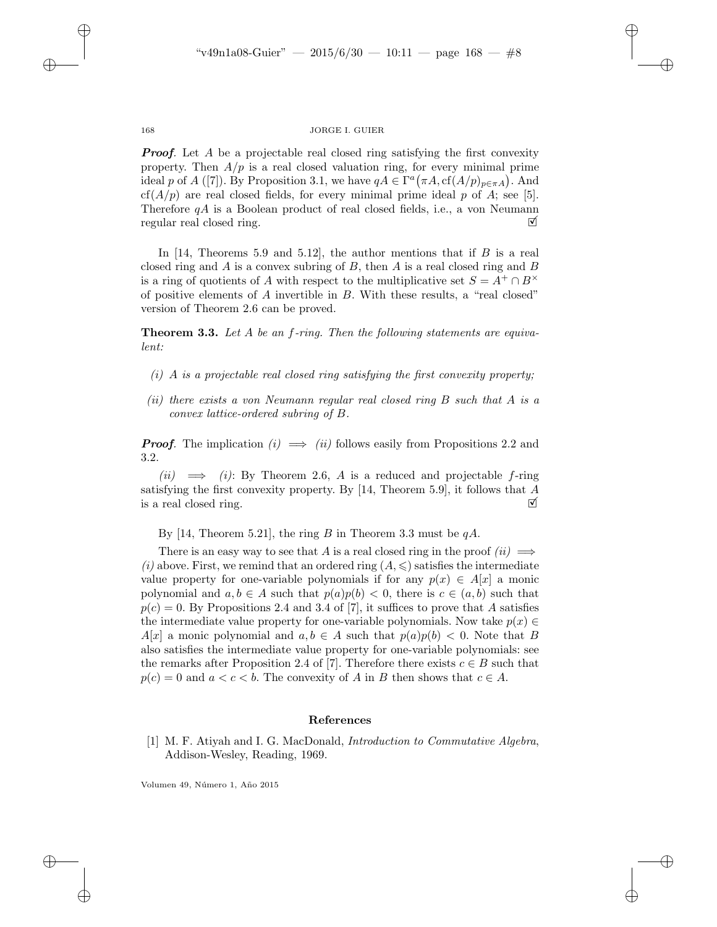✐

✐

✐

#### 168 JORGE I. GUIER

**Proof.** Let A be a projectable real closed ring satisfying the first convexity property. Then  $A/p$  is a real closed valuation ring, for every minimal prime ideal p of A ([7]). By Proposition 3.1, we have  $qA \in \Gamma^a(\pi A, cf(A/p)_{p \in \pi A})$ . And  $cf(A/p)$  are real closed fields, for every minimal prime ideal p of A; see [5]. Therefore  $qA$  is a Boolean product of real closed fields, i.e., a von Neumann regular real closed ring.  $\Box$ 

In [14, Theorems 5.9 and 5.12], the author mentions that if  $B$  is a real closed ring and  $A$  is a convex subring of  $B$ , then  $A$  is a real closed ring and  $B$ is a ring of quotients of A with respect to the multiplicative set  $S = A^+ \cap B^{\times}$ of positive elements of A invertible in B. With these results, a "real closed" version of Theorem 2.6 can be proved.

Theorem 3.3. Let A be an f-ring. Then the following statements are equivalent:

- $(i)$  A is a projectable real closed ring satisfying the first convexity property;
- (ii) there exists a von Neumann regular real closed ring B such that A is a convex lattice-ordered subring of B.

**Proof.** The implication  $(i) \implies (ii)$  follows easily from Propositions 2.2 and 3.2.

(ii)  $\implies$  (i): By Theorem 2.6, A is a reduced and projectable f-ring satisfying the first convexity property. By  $[14,$  Theorem 5.9, it follows that A is a real closed ring.  $\Box$ 

By [14, Theorem 5.21], the ring B in Theorem 3.3 must be  $qA$ .

There is an easy way to see that A is a real closed ring in the proof  $(ii) \implies$ (i) above. First, we remind that an ordered ring  $(A, \leqslant)$  satisfies the intermediate value property for one-variable polynomials if for any  $p(x) \in A[x]$  a monic polynomial and  $a, b \in A$  such that  $p(a)p(b) < 0$ , there is  $c \in (a, b)$  such that  $p(c) = 0$ . By Propositions 2.4 and 3.4 of [7], it suffices to prove that A satisfies the intermediate value property for one-variable polynomials. Now take  $p(x) \in$  $A[x]$  a monic polynomial and  $a, b \in A$  such that  $p(a)p(b) < 0$ . Note that B also satisfies the intermediate value property for one-variable polynomials: see the remarks after Proposition 2.4 of [7]. Therefore there exists  $c \in B$  such that  $p(c) = 0$  and  $a < c < b$ . The convexity of A in B then shows that  $c \in A$ .

#### References

[1] M. F. Atiyah and I. G. MacDonald, *Introduction to Commutative Algebra*, Addison-Wesley, Reading, 1969.

Volumen 49, Número 1, Año 2015

 $\rightarrow$ 

✐

✐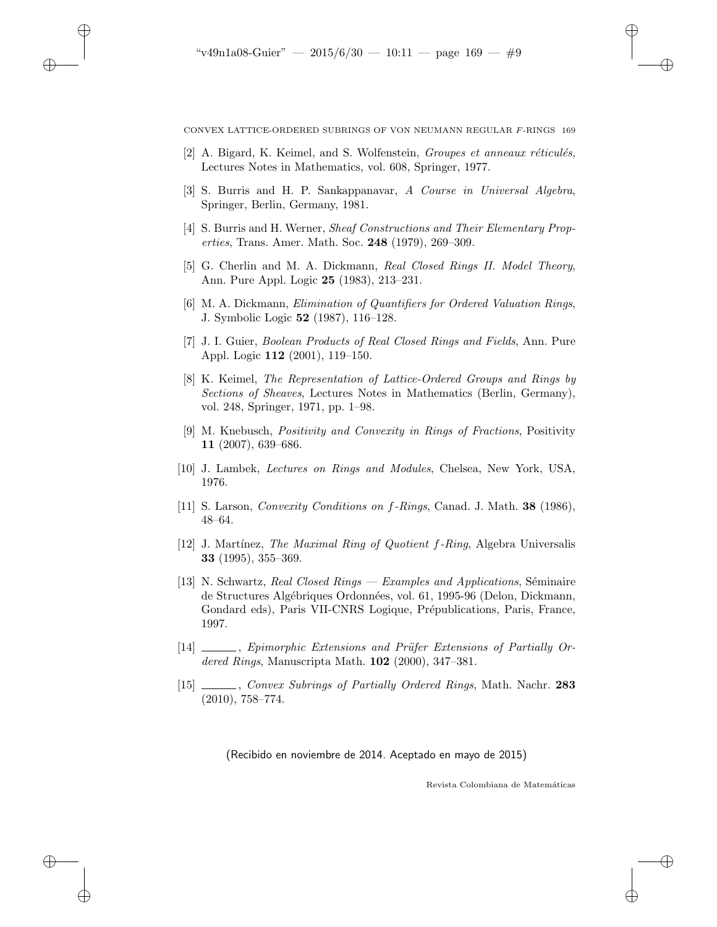$\rightarrow$ 

✐

✐

CONVEX LATTICE-ORDERED SUBRINGS OF VON NEUMANN REGULAR F-RINGS 169

✐

✐

✐

✐

- [2] A. Bigard, K. Keimel, and S. Wolfenstein, *Groupes et anneaux réticulés*, Lectures Notes in Mathematics, vol. 608, Springer, 1977.
- [3] S. Burris and H. P. Sankappanavar, A Course in Universal Algebra, Springer, Berlin, Germany, 1981.
- [4] S. Burris and H. Werner, Sheaf Constructions and Their Elementary Properties, Trans. Amer. Math. Soc. 248 (1979), 269–309.
- [5] G. Cherlin and M. A. Dickmann, Real Closed Rings II. Model Theory, Ann. Pure Appl. Logic 25 (1983), 213–231.
- [6] M. A. Dickmann, Elimination of Quantifiers for Ordered Valuation Rings, J. Symbolic Logic 52 (1987), 116–128.
- [7] J. I. Guier, Boolean Products of Real Closed Rings and Fields, Ann. Pure Appl. Logic 112 (2001), 119–150.
- [8] K. Keimel, The Representation of Lattice-Ordered Groups and Rings by Sections of Sheaves, Lectures Notes in Mathematics (Berlin, Germany), vol. 248, Springer, 1971, pp. 1–98.
- [9] M. Knebusch, Positivity and Convexity in Rings of Fractions, Positivity 11 (2007), 639–686.
- [10] J. Lambek, Lectures on Rings and Modules, Chelsea, New York, USA, 1976.
- [11] S. Larson, Convexity Conditions on f-Rings, Canad. J. Math. 38 (1986), 48–64.
- [12] J. Martínez, The Maximal Ring of Quotient  $f$ -Ring, Algebra Universalis 33 (1995), 355–369.
- [13] N. Schwartz, Real Closed Rings Examples and Applications, Séminaire de Structures Algébriques Ordonnées, vol. 61, 1995-96 (Delon, Dickmann, Gondard eds), Paris VII-CNRS Logique, Prépublications, Paris, France, 1997.
- $[14]$  , Epimorphic Extensions and Prüfer Extensions of Partially Ordered Rings, Manuscripta Math. 102 (2000), 347–381.
- [15] Convex Subrings of Partially Ordered Rings, Math. Nachr. 283 (2010), 758–774.

(Recibido en noviembre de 2014. Aceptado en mayo de 2015)